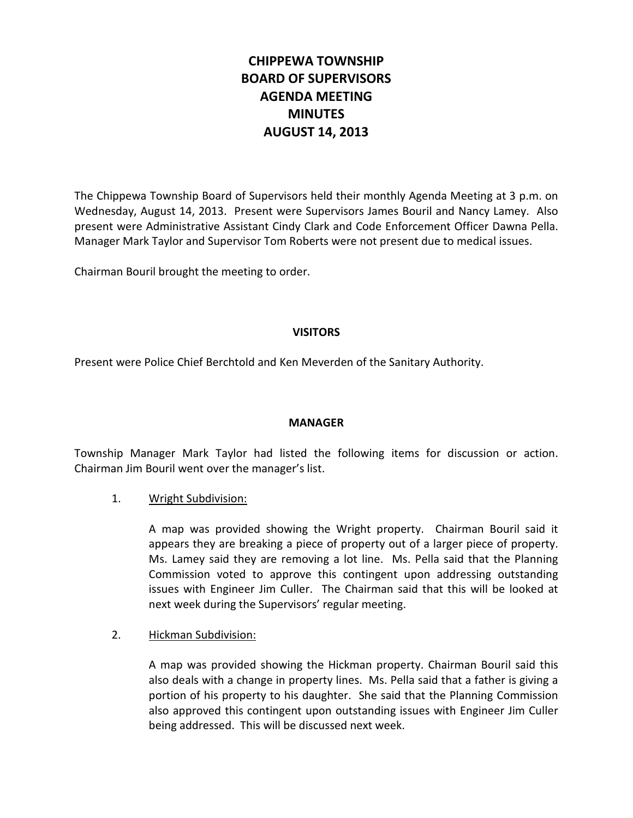# **CHIPPEWA TOWNSHIP BOARD OF SUPERVISORS AGENDA MEETING MINUTES AUGUST 14, 2013**

The Chippewa Township Board of Supervisors held their monthly Agenda Meeting at 3 p.m. on Wednesday, August 14, 2013. Present were Supervisors James Bouril and Nancy Lamey. Also present were Administrative Assistant Cindy Clark and Code Enforcement Officer Dawna Pella. Manager Mark Taylor and Supervisor Tom Roberts were not present due to medical issues.

Chairman Bouril brought the meeting to order.

# **VISITORS**

Present were Police Chief Berchtold and Ken Meverden of the Sanitary Authority.

#### **MANAGER**

Township Manager Mark Taylor had listed the following items for discussion or action. Chairman Jim Bouril went over the manager's list.

#### 1. Wright Subdivision:

A map was provided showing the Wright property. Chairman Bouril said it appears they are breaking a piece of property out of a larger piece of property. Ms. Lamey said they are removing a lot line. Ms. Pella said that the Planning Commission voted to approve this contingent upon addressing outstanding issues with Engineer Jim Culler. The Chairman said that this will be looked at next week during the Supervisors' regular meeting.

#### 2. Hickman Subdivision:

A map was provided showing the Hickman property. Chairman Bouril said this also deals with a change in property lines. Ms. Pella said that a father is giving a portion of his property to his daughter. She said that the Planning Commission also approved this contingent upon outstanding issues with Engineer Jim Culler being addressed. This will be discussed next week.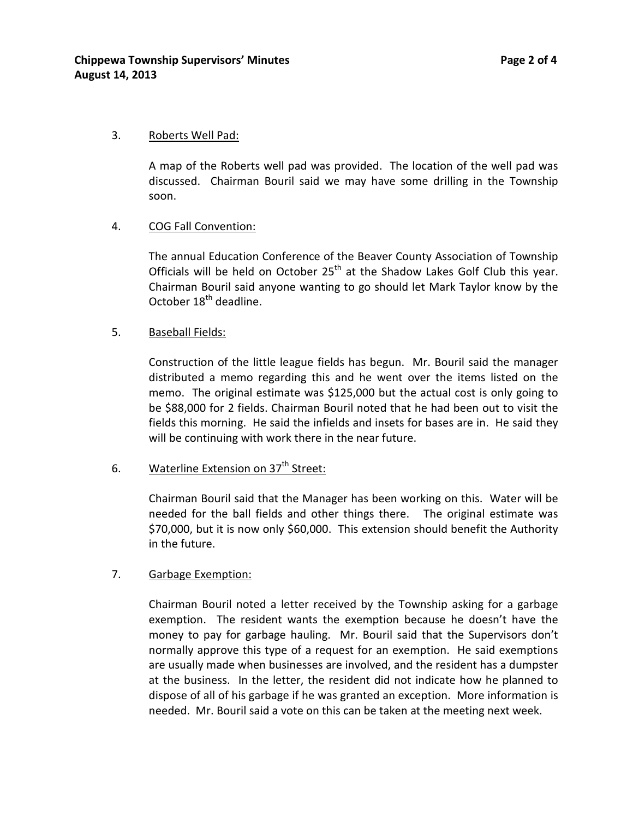### 3. Roberts Well Pad:

A map of the Roberts well pad was provided. The location of the well pad was discussed. Chairman Bouril said we may have some drilling in the Township soon.

# 4. COG Fall Convention:

The annual Education Conference of the Beaver County Association of Township Officials will be held on October  $25<sup>th</sup>$  at the Shadow Lakes Golf Club this year. Chairman Bouril said anyone wanting to go should let Mark Taylor know by the October 18<sup>th</sup> deadline.

# 5. Baseball Fields:

Construction of the little league fields has begun. Mr. Bouril said the manager distributed a memo regarding this and he went over the items listed on the memo. The original estimate was \$125,000 but the actual cost is only going to be \$88,000 for 2 fields. Chairman Bouril noted that he had been out to visit the fields this morning. He said the infields and insets for bases are in. He said they will be continuing with work there in the near future.

#### 6. Waterline Extension on  $37<sup>th</sup>$  Street:

Chairman Bouril said that the Manager has been working on this. Water will be needed for the ball fields and other things there. The original estimate was \$70,000, but it is now only \$60,000. This extension should benefit the Authority in the future.

# 7. Garbage Exemption:

Chairman Bouril noted a letter received by the Township asking for a garbage exemption. The resident wants the exemption because he doesn't have the money to pay for garbage hauling. Mr. Bouril said that the Supervisors don't normally approve this type of a request for an exemption. He said exemptions are usually made when businesses are involved, and the resident has a dumpster at the business. In the letter, the resident did not indicate how he planned to dispose of all of his garbage if he was granted an exception. More information is needed. Mr. Bouril said a vote on this can be taken at the meeting next week.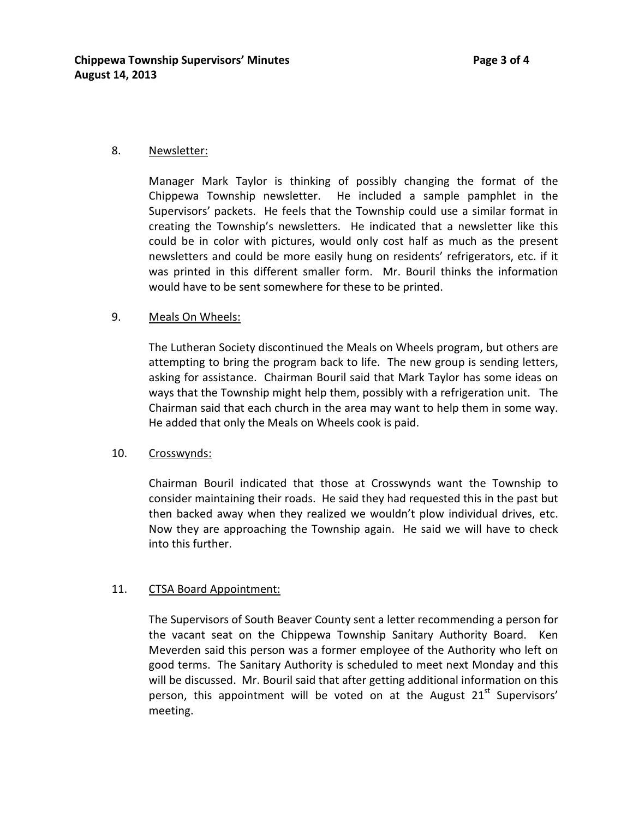#### 8. Newsletter:

Manager Mark Taylor is thinking of possibly changing the format of the Chippewa Township newsletter. He included a sample pamphlet in the Supervisors' packets. He feels that the Township could use a similar format in creating the Township's newsletters. He indicated that a newsletter like this could be in color with pictures, would only cost half as much as the present newsletters and could be more easily hung on residents' refrigerators, etc. if it was printed in this different smaller form. Mr. Bouril thinks the information would have to be sent somewhere for these to be printed.

#### 9. Meals On Wheels:

The Lutheran Society discontinued the Meals on Wheels program, but others are attempting to bring the program back to life. The new group is sending letters, asking for assistance. Chairman Bouril said that Mark Taylor has some ideas on ways that the Township might help them, possibly with a refrigeration unit. The Chairman said that each church in the area may want to help them in some way. He added that only the Meals on Wheels cook is paid.

#### 10. Crosswynds:

Chairman Bouril indicated that those at Crosswynds want the Township to consider maintaining their roads. He said they had requested this in the past but then backed away when they realized we wouldn't plow individual drives, etc. Now they are approaching the Township again. He said we will have to check into this further.

#### 11. CTSA Board Appointment:

The Supervisors of South Beaver County sent a letter recommending a person for the vacant seat on the Chippewa Township Sanitary Authority Board. Ken Meverden said this person was a former employee of the Authority who left on good terms. The Sanitary Authority is scheduled to meet next Monday and this will be discussed. Mr. Bouril said that after getting additional information on this person, this appointment will be voted on at the August  $21<sup>st</sup>$  Supervisors' meeting.